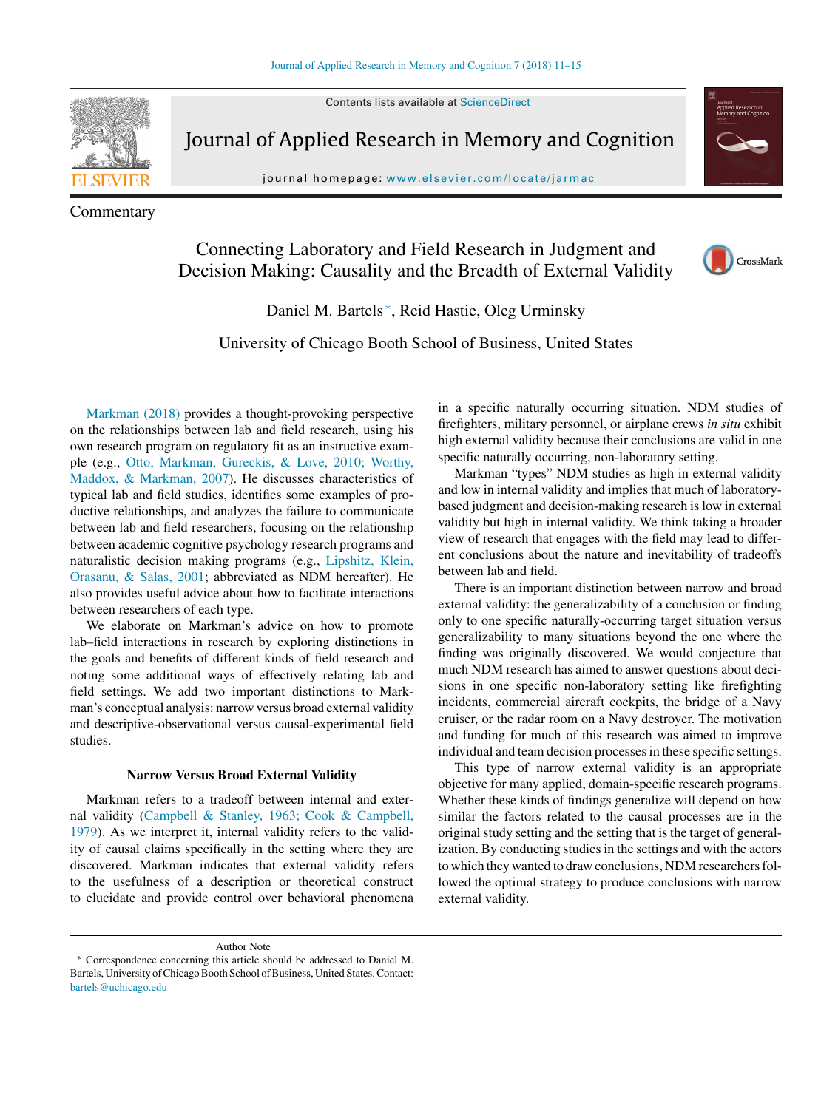Contents lists available at [ScienceDirect](http://www.sciencedirect.com/science/journal/22113681)



Commentary

Journal of Applied Research in Memory and Cognition

journal homepage: [www.elsevier.com/locate/jarmac](http://www.elsevier.com/locate/jarmac)

# Connecting Laboratory and Field Research in Judgment and Decision Making: Causality and the Breadth of External Validity



Daniel M. Bartels <sup>∗</sup>, Reid Hastie, Oleg Urminsky

University of Chicago Booth School of Business, United States

[Markman](#page-4-0) [\(2018\)](#page-4-0) provides a thought-provoking perspective on the relationships between lab and field research, using his own research program on regulatory fit as an instructive example (e.g., [Otto,](#page-4-0) [Markman,](#page-4-0) [Gureckis,](#page-4-0) [&](#page-4-0) [Love,](#page-4-0) [2010;](#page-4-0) [Worthy,](#page-4-0) [Maddox,](#page-4-0) [&](#page-4-0) [Markman,](#page-4-0) [2007\).](#page-4-0) He discusses characteristics of typical lab and field studies, identifies some examples of productive relationships, and analyzes the failure to communicate between lab and field researchers, focusing on the relationship between academic cognitive psychology research programs and naturalistic decision making programs (e.g., [Lipshitz,](#page-4-0) [Klein,](#page-4-0) [Orasanu,](#page-4-0) [&](#page-4-0) [Salas,](#page-4-0) [2001;](#page-4-0) abbreviated as NDM hereafter). He also provides useful advice about how to facilitate interactions between researchers of each type.

We elaborate on Markman's advice on how to promote lab–field interactions in research by exploring distinctions in the goals and benefits of different kinds of field research and noting some additional ways of effectively relating lab and field settings. We add two important distinctions to Markman's conceptual analysis: narrow versus broad external validity and descriptive-observational versus causal-experimental field studies.

## **Narrow Versus Broad External Validity**

Markman refers to a tradeoff between internal and external validity (Campbell & Stanley, 1963; Cook & [Campbell,](#page-3-0) 1979). As we interpret it, internal validity refers to the validity of causal claims specifically in the setting where they are discovered. Markman indicates that external validity refers to the usefulness of a description or theoretical construct to elucidate and provide control over behavioral phenomena

in a specific naturally occurring situation. NDM studies of firefighters, military personnel, or airplane crews *in situ* exhibit high external validity because their conclusions are valid in one specific naturally occurring, non-laboratory setting.

Markman "types" NDM studies as high in external validity and low in internal validity and implies that much of laboratorybased judgment and decision-making research is low in external validity but high in internal validity. We think taking a broader view of research that engages with the field may lead to different conclusions about the nature and inevitability of tradeoffs between lab and field.

There is an important distinction between narrow and broad external validity: the generalizability of a conclusion or finding only to one specific naturally-occurring target situation versus generalizability to many situations beyond the one where the finding was originally discovered. We would conjecture that much NDM research has aimed to answer questions about decisions in one specific non-laboratory setting like firefighting incidents, commercial aircraft cockpits, the bridge of a Navy cruiser, or the radar room on a Navy destroyer. The motivation and funding for much of this research was aimed to improve individual and team decision processesin these specific settings.

This type of narrow external validity is an appropriate objective for many applied, domain-specific research programs. Whether these kinds of findings generalize will depend on how similar the factors related to the causal processes are in the original study setting and the setting that is the target of generalization. By conducting studies in the settings and with the actors to which they wanted to draw conclusions, NDM researchers followed the optimal strategy to produce conclusions with narrow external validity.

Author Note

Correspondence concerning this article should be addressed to Daniel M. Bartels, University of Chicago Booth School of Business, United States. Contact: [bartels@uchicago.edu](mailto:bartels@uchicago.edu)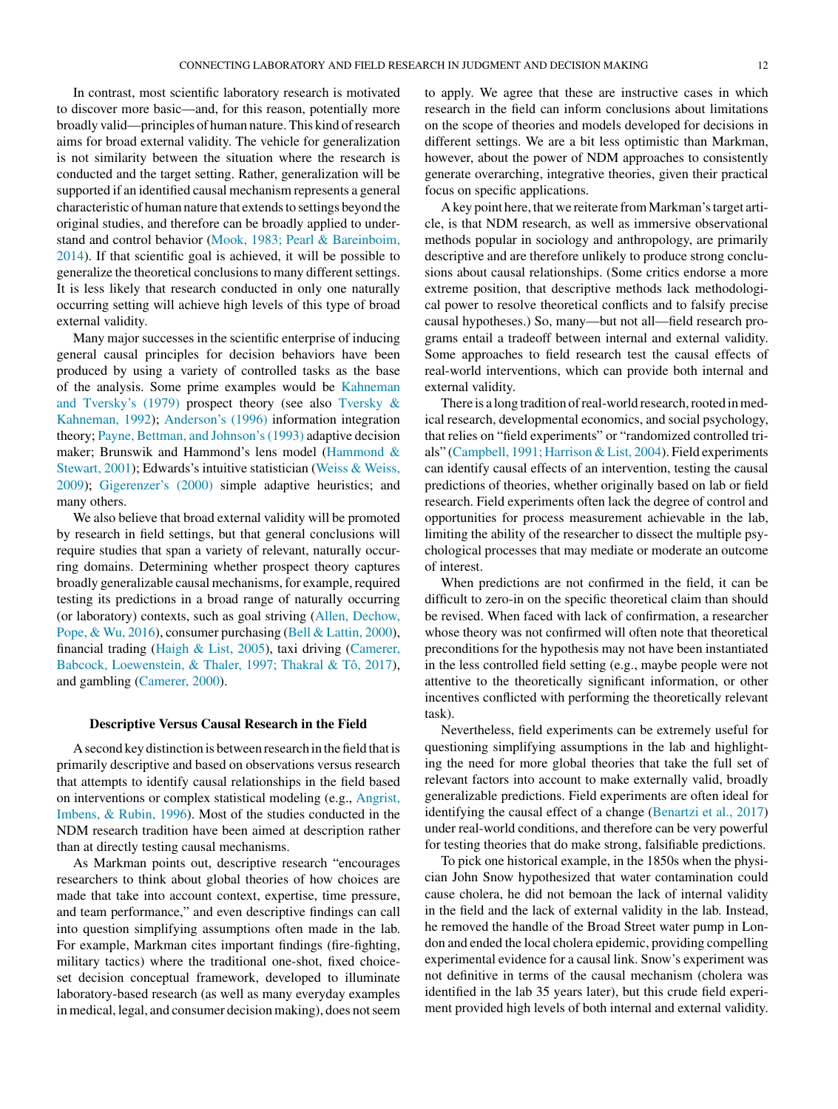In contrast, most scientific laboratory research is motivated to discover more basic—and, for this reason, potentially more broadly valid—principles of human nature. This kind of research aims for broad external validity. The vehicle for generalization is not similarity between the situation where the research is conducted and the target setting. Rather, generalization will be supported if an identified causal mechanism represents a general characteristic of human nature that extends to settings beyond the original studies, and therefore can be broadly applied to understand and control behavior (Mook, 1983; Pearl & [Bareinboim,](#page-4-0) 2014). If that scientific goal is achieved, it will be possible to generalize the theoretical conclusions to many different settings. It is less likely that research conducted in only one naturally occurring setting will achieve high levels of this type of broad external validity.

Many major successes in the scientific enterprise of inducing general causal principles for decision behaviors have been produced by using a variety of controlled tasks as the base of the analysis. Some prime examples would be [Kahneman](#page-4-0) and Tversky's (1979) prospect theory (see also [Tversky](#page-4-0) & Kahneman, 1992); [Anderson's](#page-3-0) (1996) information integration theory; Payne, Bettman, and [Johnson's\(1993\)](#page-4-0) adaptive decision maker; Brunswik and Hammond's lens model [\(Hammond](#page-4-0) & Stewart, 2001); Edwards's intuitive statistician (Weiss & [Weiss,](#page-4-0) 2009); [Gigerenzer's](#page-3-0) (2000) simple adaptive heuristics; and many others.

We also believe that broad external validity will be promoted by research in field settings, but that general conclusions will require studies that span a variety of relevant, naturally occurring domains. Determining whether prospect theory captures broadly generalizable causal mechanisms, for example, required testing its predictions in a broad range of naturally occurring (or laboratory) contexts, such as goal striving (Allen, [Dechow,](#page-3-0) Pope, & Wu, 2016), consumer purchasing (Bell & [Lattin,](#page-3-0) 2000), financial trading [\(Haigh](#page-4-0) & List, 2005), taxi driving (Camerer, Babcock, Loewenstein, & Thaler, 1997; Thakral & Tô, 2017), and gambling [\(Camerer,](#page-3-0) 2000).

#### **Descriptive Versus Causal Research in the Field**

Asecond key distinction is between research in the field that is primarily descriptive and based on observations versus research that attempts to identify causal relationships in the field based on interventions or complex statistical modeling (e.g., Angrist, Imbens, & Rubin, 1996). Most of the studies conducted in the NDM research tradition have been aimed at description rather than at directly testing causal mechanisms.

As Markman points out, descriptive research "encourages researchers to think about global theories of how choices are made that take into account context, expertise, time pressure, and team performance," and even descriptive findings can call into question simplifying assumptions often made in the lab. For example, Markman cites important findings (fire-fighting, military tactics) where the traditional one-shot, fixed choiceset decision conceptual framework, developed to illuminate laboratory-based research (as well as many everyday examples in medical, legal, and consumer decision making), does notseem to apply. We agree that these are instructive cases in which research in the field can inform conclusions about limitations on the scope of theories and models developed for decisions in different settings. We are a bit less optimistic than Markman, however, about the power of NDM approaches to consistently generate overarching, integrative theories, given their practical focus on specific applications.

A key point here, that we reiterate fromMarkman'starget article, is that NDM research, as well as immersive observational methods popular in sociology and anthropology, are primarily descriptive and are therefore unlikely to produce strong conclusions about causal relationships. (Some critics endorse a more extreme position, that descriptive methods lack methodological power to resolve theoretical conflicts and to falsify precise causal hypotheses.) So, many—but not all—field research programs entail a tradeoff between internal and external validity. Some approaches to field research test the causal effects of real-world interventions, which can provide both internal and external validity.

There is a long tradition of real-world research, rooted in medical research, developmental economics, and social psychology, that relies on "field experiments" or "randomized controlled trials" [\(Campbell,](#page-3-0) 1991; Harrison & List, 2004). Field experiments can identify causal effects of an intervention, testing the causal predictions of theories, whether originally based on lab or field research. Field experiments often lack the degree of control and opportunities for process measurement achievable in the lab, limiting the ability of the researcher to dissect the multiple psychological processes that may mediate or moderate an outcome of interest.

When predictions are not confirmed in the field, it can be difficult to zero-in on the specific theoretical claim than should be revised. When faced with lack of confirmation, a researcher whose theory was not confirmed will often note that theoretical [preconditions](#page-3-0) for the hypothesis may not have been instantiated in the less controlled field setting (e.g., maybe people were not attentive to the theoretically significant information, or other incentives conflicted with performing the theoretically relevant task).

Nevertheless, field experiments can be extremely useful for questioning simplifying assumptions in the lab and highlighting the need for more global theories that take the full set of relevant factors into account to make externally valid, broadly [generalizable](#page-3-0) predictions. Field experiments are often ideal for identifying the causal effect of a change [\(Benartzi](#page-3-0) et al., 2017) under real-world conditions, and therefore can be very powerful for testing theories that do make strong, falsifiable predictions.

To pick one historical example, in the 1850s when the physician John Snow hypothesized that water contamination could cause cholera, he did not bemoan the lack of internal validity in the field and the lack of external validity in the lab. Instead, he removed the handle of the Broad Street water pump in London and ended the local cholera epidemic, providing compelling experimental evidence for a causal link. Snow's experiment was not definitive in terms of the causal mechanism (cholera was identified in the lab 35 years later), but this crude field experiment provided high levels of both internal and external validity.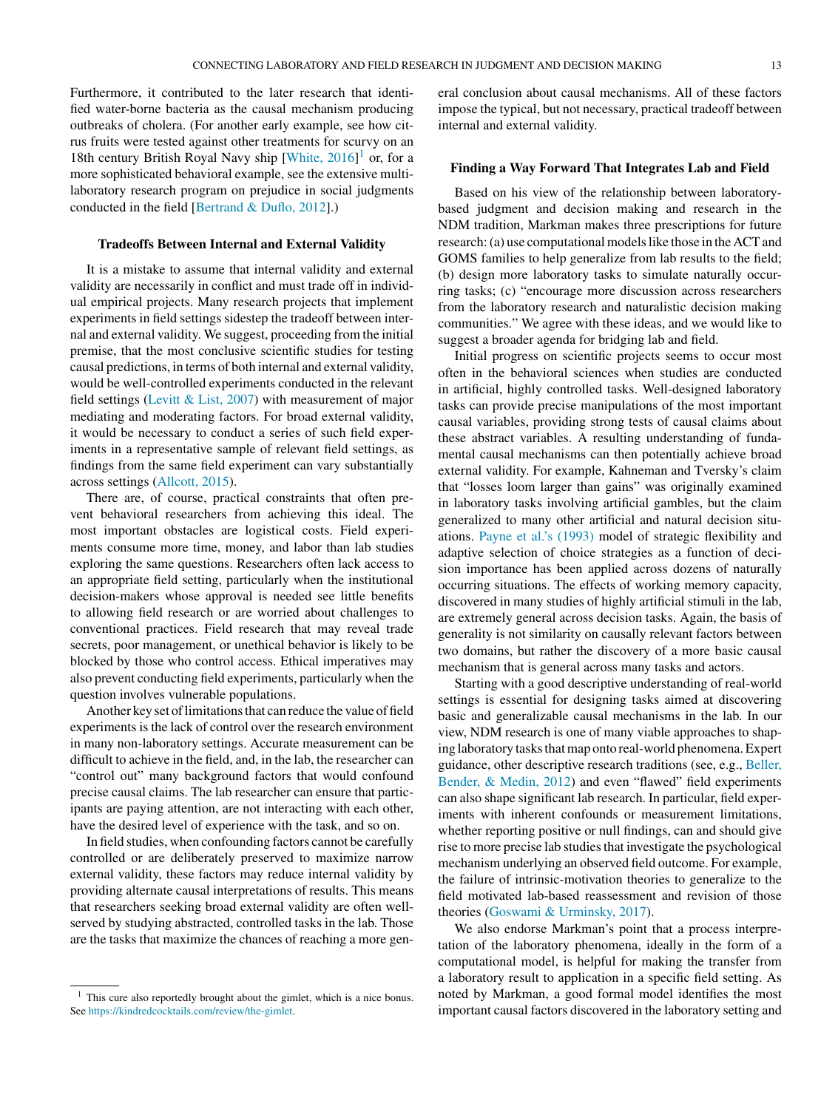Furthermore, it contributed to the later research that identified water-borne bacteria as the causal mechanism producing outbreaks of cholera. (For another early example, see how citrus fruits were tested against other treatments for scurvy on an 18th century British Royal Navy ship [[White,](#page-4-0) 2016]<sup>1</sup> or, for a more sophisticated behavioral example, see the extensive multilaboratory research program on prejudice in social judgments conducted in the field [[Bertrand](#page-3-0) & Duflo, 2012].)

## **Tradeoffs Between Internal and External Validity**

It is a mistake to assume that internal validity and external validity are necessarily in conflict and must trade off in individual empirical projects. Many research projects that implement experiments in field settings sidestep the tradeoff between internal and external validity. We suggest, proceeding from the initial premise, that the most conclusive scientific studies for testing causal predictions, in terms of both internal and external validity, would be well-controlled experiments conducted in the relevant field settings (Levitt & List, [2007\)](#page-4-0) with measurement of major mediating and moderating factors. For broad external validity, it would be necessary to conduct a series of such field experiments in a representative sample of relevant field settings, as findings from the same field experiment can vary substantially across settings [\(Allcott,](#page-3-0) 2015).

There are, of course, practical constraints that often prevent behavioral researchers from achieving this ideal. The most important obstacles are logistical costs. Field experiments consume more time, money, and labor than lab studies exploring the same questions. Researchers often lack access to an appropriate field setting, particularly when the institutional decision-makers whose approval is needed see little benefits to allowing field research or are worried about challenges to conventional practices. Field research that may reveal trade secrets, poor management, or unethical behavior is likely to be blocked by those who control access. Ethical imperatives may also prevent conducting field experiments, particularly when the question involves vulnerable populations.

Another key set of limitations that can reduce the value of field experiments is the lack of control over the research environment in many non-laboratory settings. Accurate measurement can be difficult to achieve in the field, and, in the lab, the researcher can "control out" many background factors that would confound precise causal claims. The lab researcher can ensure that participants are paying attention, are not interacting with each other, have the desired level of experience with the task, and so on.

In field studies, when confounding factors cannot be carefully controlled or are deliberately preserved to maximize narrow external validity, these factors may reduce internal validity by providing alternate causal interpretations of results. This means that researchers seeking broad external validity are often wellserved by studying abstracted, controlled tasks in the lab. Those are the tasks that maximize the chances of reaching a more general conclusion about causal mechanisms. All of these factors impose the typical, but not necessary, practical tradeoff between internal and external validity.

## **Finding a Way Forward That Integrates Lab and Field**

Based on his view of the relationship between laboratorybased judgment and decision making and research in the NDM tradition, Markman makes three prescriptions for future research: (a) use computational models like those in the ACT and GOMS families to help generalize from lab results to the field; (b) design more laboratory tasks to simulate naturally occurring tasks; (c) "encourage more discussion across researchers from the laboratory research and naturalistic decision making communities." We agree with these ideas, and we would like to suggest a broader agenda for bridging lab and field.

Initial progress on scientific projects seems to occur most often in the behavioral sciences when studies are conducted in artificial, highly controlled tasks. Well-designed laboratory tasks can provide precise manipulations of the most important causal variables, providing strong tests of causal claims about these abstract variables. A resulting understanding of fundamental causal mechanisms can then potentially achieve broad external validity. For example, Kahneman and Tversky's claim that "losses loom larger than gains" was originally examined in laboratory tasks involving artificial gambles, but the claim generalized to many other artificial and natural decision situations. Payne et al.'s [\(1993\)](#page-4-0) model of strategic flexibility and adaptive selection of choice strategies as a function of decision importance has been applied across dozens of naturally occurring situations. The effects of working memory capacity, discovered in many studies of highly artificial stimuli in the lab, are extremely general across decision tasks. Again, the basis of generality is not similarity on causally relevant factors between two domains, but rather the discovery of a more basic causal mechanism that is general across many tasks and actors.

Starting with a good descriptive understanding of real-world settings is essential for designing tasks aimed at discovering basic and generalizable causal mechanisms in the lab. In our view, NDM research is one of many viable approaches to shaping laboratory tasks that map onto real-world phenomena. Expert guidance, other descriptive research traditions (see, e.g., [Beller,](#page-3-0) Bender, & Medin, 2012) and even "flawed" field experiments can also shape significant lab research. In particular, field experiments with inherent confounds or measurement limitations, whether reporting positive or null findings, can and should give rise to more precise lab studies that investigate the psychological mechanism underlying an observed field outcome. For example, the failure of intrinsic-motivation theories to generalize to the field motivated lab-based reassessment and revision of those theories (Goswami & [Urminsky,](#page-4-0) 2017).

We also endorse Markman's point that a process interpretation of the laboratory phenomena, ideally in the form of a computational model, is helpful for making the transfer from a laboratory result to application in a specific field setting. As noted by Markman, a good formal model identifies the most important causal factors discovered in the laboratory setting and

<sup>&</sup>lt;sup>1</sup> This cure also reportedly brought about the gimlet, which is a nice bonus. See <https://kindredcocktails.com/review/the-gimlet>.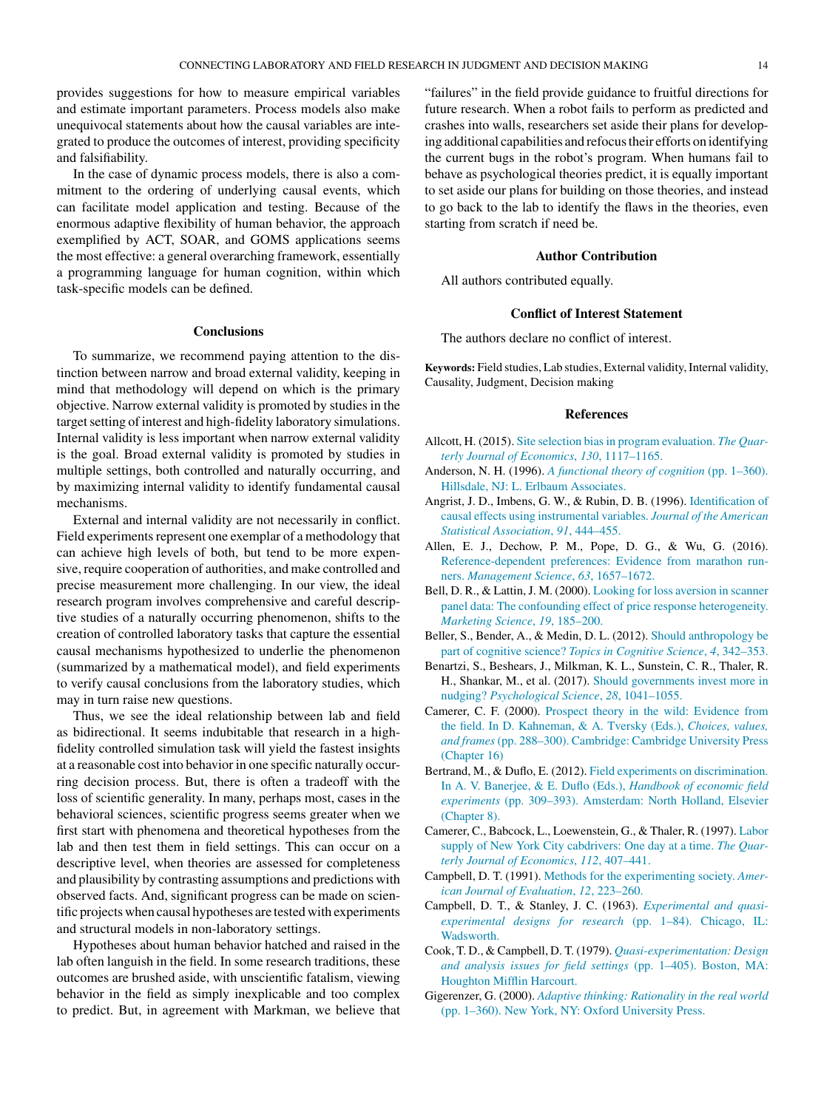<span id="page-3-0"></span>provides suggestions for how to measure empirical variables and estimate important parameters. Process models also make unequivocal statements about how the causal variables are integrated to produce the outcomes of interest, providing specificity and falsifiability.

In the case of dynamic process models, there is also a commitment to the ordering of underlying causal events, which can facilitate model application and testing. Because of the enormous adaptive flexibility of human behavior, the approach exemplified by ACT, SOAR, and GOMS applications seems the most effective: a general overarching framework, essentially a programming language for human cognition, within which task-specific models can be defined.

### **Conclusions**

To summarize, we recommend paying attention to the distinction between narrow and broad external validity, keeping in mind that methodology will depend on which is the primary objective. Narrow external validity is promoted by studies in the target setting of interest and high-fidelity laboratory simulations. Internal validity is less important when narrow external validity is the goal. Broad external validity is promoted by studies in multiple settings, both controlled and naturally occurring, and by maximizing internal validity to identify fundamental causal mechanisms.

External and internal validity are not necessarily in conflict. Field experiments represent one exemplar of a methodology that can achieve high levels of both, but tend to be more expensive, require cooperation of authorities, and make controlled and precise measurement more challenging. In our view, the ideal research program involves comprehensive and careful descriptive studies of a naturally occurring phenomenon, shifts to the creation of controlled laboratory tasks that capture the essential causal mechanisms hypothesized to underlie the phenomenon (summarized by a mathematical model), and field experiments to verify causal conclusions from the laboratory studies, which may in turn raise new questions.

Thus, we see the ideal relationship between lab and field as bidirectional. It seems indubitable that research in a highfidelity controlled simulation task will yield the fastest insights at a reasonable cost into behavior in one specific naturally occurring decision process. But, there is often a tradeoff with the loss of scientific generality. In many, perhaps most, cases in the behavioral sciences, scientific progress seems greater when we first start with phenomena and theoretical hypotheses from the lab and then test them in field settings. This can occur on a descriptive level, when theories are assessed for completeness and plausibility by contrasting assumptions and predictions with observed facts. And, significant progress can be made on scientific projects when causal hypotheses are tested with experiments and structural models in non-laboratory settings.

Hypotheses about human behavior hatched and raised in the lab often languish in the field. In some research traditions, these outcomes are brushed aside, with unscientific fatalism, viewing behavior in the field as simply inexplicable and too complex to predict. But, in agreement with Markman, we believe that "failures" in the field provide guidance to fruitful directions for future research. When a robot fails to perform as predicted and crashes into walls, researchers set aside their plans for developing additional capabilities and refocus their efforts on identifying the current bugs in the robot's program. When humans fail to behave as psychological theories predict, it is equally important to set aside our plans for building on those theories, and instead to go back to the lab to identify the flaws in the theories, even starting from scratch if need be.

### **Author Contribution**

All authors contributed equally.

## **Conflict of Interest Statement**

The authors declare no conflict of interest.

Keywords: Field studies, Lab studies, External validity, Internal validity, Causality, Judgment, Decision making

#### **References**

- Allcott, H. (2015). [Site](http://refhub.elsevier.com/S2211-3681(17)30313-3/sbref0005) [selection](http://refhub.elsevier.com/S2211-3681(17)30313-3/sbref0005) [biasin](http://refhub.elsevier.com/S2211-3681(17)30313-3/sbref0005) [program](http://refhub.elsevier.com/S2211-3681(17)30313-3/sbref0005) [evaluation.](http://refhub.elsevier.com/S2211-3681(17)30313-3/sbref0005) *[The](http://refhub.elsevier.com/S2211-3681(17)30313-3/sbref0005) [Quar](http://refhub.elsevier.com/S2211-3681(17)30313-3/sbref0005)[terly](http://refhub.elsevier.com/S2211-3681(17)30313-3/sbref0005) [Journal](http://refhub.elsevier.com/S2211-3681(17)30313-3/sbref0005) [of](http://refhub.elsevier.com/S2211-3681(17)30313-3/sbref0005) [Economics](http://refhub.elsevier.com/S2211-3681(17)30313-3/sbref0005)*[,](http://refhub.elsevier.com/S2211-3681(17)30313-3/sbref0005) *[130](http://refhub.elsevier.com/S2211-3681(17)30313-3/sbref0005)*[,](http://refhub.elsevier.com/S2211-3681(17)30313-3/sbref0005) [1117](http://refhub.elsevier.com/S2211-3681(17)30313-3/sbref0005)–[1165.](http://refhub.elsevier.com/S2211-3681(17)30313-3/sbref0005)
- Anderson, N. H. (1996). *[A](http://refhub.elsevier.com/S2211-3681(17)30313-3/sbref0010) [functional](http://refhub.elsevier.com/S2211-3681(17)30313-3/sbref0010) [theory](http://refhub.elsevier.com/S2211-3681(17)30313-3/sbref0010) [of](http://refhub.elsevier.com/S2211-3681(17)30313-3/sbref0010) [cognition](http://refhub.elsevier.com/S2211-3681(17)30313-3/sbref0010)* [\(pp.](http://refhub.elsevier.com/S2211-3681(17)30313-3/sbref0010) [1](http://refhub.elsevier.com/S2211-3681(17)30313-3/sbref0010)–[360\).](http://refhub.elsevier.com/S2211-3681(17)30313-3/sbref0010) [Hillsdale,](http://refhub.elsevier.com/S2211-3681(17)30313-3/sbref0010) [NJ:](http://refhub.elsevier.com/S2211-3681(17)30313-3/sbref0010) [L.](http://refhub.elsevier.com/S2211-3681(17)30313-3/sbref0010) [Erlbaum](http://refhub.elsevier.com/S2211-3681(17)30313-3/sbref0010) [Associates.](http://refhub.elsevier.com/S2211-3681(17)30313-3/sbref0010)
- Angrist, J. D., Imbens, G. W., & Rubin, D. B. (1996). [Identification](http://refhub.elsevier.com/S2211-3681(17)30313-3/sbref0015) [of](http://refhub.elsevier.com/S2211-3681(17)30313-3/sbref0015) [causal](http://refhub.elsevier.com/S2211-3681(17)30313-3/sbref0015) [effects](http://refhub.elsevier.com/S2211-3681(17)30313-3/sbref0015) [using](http://refhub.elsevier.com/S2211-3681(17)30313-3/sbref0015) [instrumental](http://refhub.elsevier.com/S2211-3681(17)30313-3/sbref0015) [variables.](http://refhub.elsevier.com/S2211-3681(17)30313-3/sbref0015) *[Journal](http://refhub.elsevier.com/S2211-3681(17)30313-3/sbref0015) [of](http://refhub.elsevier.com/S2211-3681(17)30313-3/sbref0015) [the](http://refhub.elsevier.com/S2211-3681(17)30313-3/sbref0015) [American](http://refhub.elsevier.com/S2211-3681(17)30313-3/sbref0015) [Statistical](http://refhub.elsevier.com/S2211-3681(17)30313-3/sbref0015) [Association](http://refhub.elsevier.com/S2211-3681(17)30313-3/sbref0015)*[,](http://refhub.elsevier.com/S2211-3681(17)30313-3/sbref0015) *[91](http://refhub.elsevier.com/S2211-3681(17)30313-3/sbref0015)*[,](http://refhub.elsevier.com/S2211-3681(17)30313-3/sbref0015) [444](http://refhub.elsevier.com/S2211-3681(17)30313-3/sbref0015)–[455.](http://refhub.elsevier.com/S2211-3681(17)30313-3/sbref0015)
- Allen, E. J., Dechow, P. M., Pope, D. G., & Wu, G. (2016). [Reference-dependent](http://refhub.elsevier.com/S2211-3681(17)30313-3/sbref0020) [preferences:](http://refhub.elsevier.com/S2211-3681(17)30313-3/sbref0020) [Evidence](http://refhub.elsevier.com/S2211-3681(17)30313-3/sbref0020) [from](http://refhub.elsevier.com/S2211-3681(17)30313-3/sbref0020) [marathon](http://refhub.elsevier.com/S2211-3681(17)30313-3/sbref0020) [run](http://refhub.elsevier.com/S2211-3681(17)30313-3/sbref0020)[ners.](http://refhub.elsevier.com/S2211-3681(17)30313-3/sbref0020) *[Management](http://refhub.elsevier.com/S2211-3681(17)30313-3/sbref0020) [Science](http://refhub.elsevier.com/S2211-3681(17)30313-3/sbref0020)*[,](http://refhub.elsevier.com/S2211-3681(17)30313-3/sbref0020) *[63](http://refhub.elsevier.com/S2211-3681(17)30313-3/sbref0020)*[,](http://refhub.elsevier.com/S2211-3681(17)30313-3/sbref0020) [1657](http://refhub.elsevier.com/S2211-3681(17)30313-3/sbref0020)–[1672.](http://refhub.elsevier.com/S2211-3681(17)30313-3/sbref0020)
- Bell, D. R., & Lattin, J. M. (2000). [Looking](http://refhub.elsevier.com/S2211-3681(17)30313-3/sbref0025) [for](http://refhub.elsevier.com/S2211-3681(17)30313-3/sbref0025) [loss](http://refhub.elsevier.com/S2211-3681(17)30313-3/sbref0025) [aversion](http://refhub.elsevier.com/S2211-3681(17)30313-3/sbref0025) [in](http://refhub.elsevier.com/S2211-3681(17)30313-3/sbref0025) [scanner](http://refhub.elsevier.com/S2211-3681(17)30313-3/sbref0025) [panel](http://refhub.elsevier.com/S2211-3681(17)30313-3/sbref0025) [data:](http://refhub.elsevier.com/S2211-3681(17)30313-3/sbref0025) [The](http://refhub.elsevier.com/S2211-3681(17)30313-3/sbref0025) [confounding](http://refhub.elsevier.com/S2211-3681(17)30313-3/sbref0025) [effect](http://refhub.elsevier.com/S2211-3681(17)30313-3/sbref0025) [of](http://refhub.elsevier.com/S2211-3681(17)30313-3/sbref0025) [price](http://refhub.elsevier.com/S2211-3681(17)30313-3/sbref0025) [response](http://refhub.elsevier.com/S2211-3681(17)30313-3/sbref0025) [heterogeneity.](http://refhub.elsevier.com/S2211-3681(17)30313-3/sbref0025) *[Marketing](http://refhub.elsevier.com/S2211-3681(17)30313-3/sbref0025) [Science](http://refhub.elsevier.com/S2211-3681(17)30313-3/sbref0025)*[,](http://refhub.elsevier.com/S2211-3681(17)30313-3/sbref0025) *[19](http://refhub.elsevier.com/S2211-3681(17)30313-3/sbref0025)*[,](http://refhub.elsevier.com/S2211-3681(17)30313-3/sbref0025) [185](http://refhub.elsevier.com/S2211-3681(17)30313-3/sbref0025)–[200.](http://refhub.elsevier.com/S2211-3681(17)30313-3/sbref0025)
- Beller, S., Bender, A., & Medin, D. L. (2012). [Should](http://refhub.elsevier.com/S2211-3681(17)30313-3/sbref0030) [anthropology](http://refhub.elsevier.com/S2211-3681(17)30313-3/sbref0030) [be](http://refhub.elsevier.com/S2211-3681(17)30313-3/sbref0030) [part](http://refhub.elsevier.com/S2211-3681(17)30313-3/sbref0030) [of](http://refhub.elsevier.com/S2211-3681(17)30313-3/sbref0030) [cognitive](http://refhub.elsevier.com/S2211-3681(17)30313-3/sbref0030) [science?](http://refhub.elsevier.com/S2211-3681(17)30313-3/sbref0030) *[Topics](http://refhub.elsevier.com/S2211-3681(17)30313-3/sbref0030) [in](http://refhub.elsevier.com/S2211-3681(17)30313-3/sbref0030) [Cognitive](http://refhub.elsevier.com/S2211-3681(17)30313-3/sbref0030) [Science](http://refhub.elsevier.com/S2211-3681(17)30313-3/sbref0030)*[,](http://refhub.elsevier.com/S2211-3681(17)30313-3/sbref0030) *[4](http://refhub.elsevier.com/S2211-3681(17)30313-3/sbref0030)*[,](http://refhub.elsevier.com/S2211-3681(17)30313-3/sbref0030) [342–353.](http://refhub.elsevier.com/S2211-3681(17)30313-3/sbref0030)
- Benartzi, S., Beshears, J., Milkman, K. L., Sunstein, C. R., Thaler, R. H., Shankar, M., et al. (2017). [Should](http://refhub.elsevier.com/S2211-3681(17)30313-3/sbref0035) [governments](http://refhub.elsevier.com/S2211-3681(17)30313-3/sbref0035) [invest](http://refhub.elsevier.com/S2211-3681(17)30313-3/sbref0035) [more](http://refhub.elsevier.com/S2211-3681(17)30313-3/sbref0035) [in](http://refhub.elsevier.com/S2211-3681(17)30313-3/sbref0035) [nudging?](http://refhub.elsevier.com/S2211-3681(17)30313-3/sbref0035) *[Psychological](http://refhub.elsevier.com/S2211-3681(17)30313-3/sbref0035) [Science](http://refhub.elsevier.com/S2211-3681(17)30313-3/sbref0035)*[,](http://refhub.elsevier.com/S2211-3681(17)30313-3/sbref0035) *[28](http://refhub.elsevier.com/S2211-3681(17)30313-3/sbref0035)*[,](http://refhub.elsevier.com/S2211-3681(17)30313-3/sbref0035) [1041–1055.](http://refhub.elsevier.com/S2211-3681(17)30313-3/sbref0035)
- Camerer, C. F. (2000). [Prospect](http://refhub.elsevier.com/S2211-3681(17)30313-3/sbref0040) [theory](http://refhub.elsevier.com/S2211-3681(17)30313-3/sbref0040) [in](http://refhub.elsevier.com/S2211-3681(17)30313-3/sbref0040) [the](http://refhub.elsevier.com/S2211-3681(17)30313-3/sbref0040) [wild:](http://refhub.elsevier.com/S2211-3681(17)30313-3/sbref0040) [Evidence](http://refhub.elsevier.com/S2211-3681(17)30313-3/sbref0040) [from](http://refhub.elsevier.com/S2211-3681(17)30313-3/sbref0040) [the](http://refhub.elsevier.com/S2211-3681(17)30313-3/sbref0040) [field.](http://refhub.elsevier.com/S2211-3681(17)30313-3/sbref0040) [In](http://refhub.elsevier.com/S2211-3681(17)30313-3/sbref0040) [D.](http://refhub.elsevier.com/S2211-3681(17)30313-3/sbref0040) [Kahneman,](http://refhub.elsevier.com/S2211-3681(17)30313-3/sbref0040) [&](http://refhub.elsevier.com/S2211-3681(17)30313-3/sbref0040) [A.](http://refhub.elsevier.com/S2211-3681(17)30313-3/sbref0040) [Tversky](http://refhub.elsevier.com/S2211-3681(17)30313-3/sbref0040) [\(Eds.\),](http://refhub.elsevier.com/S2211-3681(17)30313-3/sbref0040) *[Choices,](http://refhub.elsevier.com/S2211-3681(17)30313-3/sbref0040) [values,](http://refhub.elsevier.com/S2211-3681(17)30313-3/sbref0040) [and](http://refhub.elsevier.com/S2211-3681(17)30313-3/sbref0040) [frames](http://refhub.elsevier.com/S2211-3681(17)30313-3/sbref0040)*[\(pp.](http://refhub.elsevier.com/S2211-3681(17)30313-3/sbref0040) [288–300\).](http://refhub.elsevier.com/S2211-3681(17)30313-3/sbref0040) [Cambridge:](http://refhub.elsevier.com/S2211-3681(17)30313-3/sbref0040) [Cambridge](http://refhub.elsevier.com/S2211-3681(17)30313-3/sbref0040) [University](http://refhub.elsevier.com/S2211-3681(17)30313-3/sbref0040) [Press](http://refhub.elsevier.com/S2211-3681(17)30313-3/sbref0040) [\(Chapter](http://refhub.elsevier.com/S2211-3681(17)30313-3/sbref0040) [16\)](http://refhub.elsevier.com/S2211-3681(17)30313-3/sbref0040)
- Bertrand, M., & Duflo, E. (2012). [Field](http://refhub.elsevier.com/S2211-3681(17)30313-3/sbref0045) [experiments](http://refhub.elsevier.com/S2211-3681(17)30313-3/sbref0045) [on](http://refhub.elsevier.com/S2211-3681(17)30313-3/sbref0045) [discrimination.](http://refhub.elsevier.com/S2211-3681(17)30313-3/sbref0045) [In](http://refhub.elsevier.com/S2211-3681(17)30313-3/sbref0045) [A.](http://refhub.elsevier.com/S2211-3681(17)30313-3/sbref0045) [V.](http://refhub.elsevier.com/S2211-3681(17)30313-3/sbref0045) [Banerjee,](http://refhub.elsevier.com/S2211-3681(17)30313-3/sbref0045) [&](http://refhub.elsevier.com/S2211-3681(17)30313-3/sbref0045) [E.](http://refhub.elsevier.com/S2211-3681(17)30313-3/sbref0045) [Duflo](http://refhub.elsevier.com/S2211-3681(17)30313-3/sbref0045) [\(Eds.\),](http://refhub.elsevier.com/S2211-3681(17)30313-3/sbref0045) *[Handbook](http://refhub.elsevier.com/S2211-3681(17)30313-3/sbref0045) [of](http://refhub.elsevier.com/S2211-3681(17)30313-3/sbref0045) [economic](http://refhub.elsevier.com/S2211-3681(17)30313-3/sbref0045) [field](http://refhub.elsevier.com/S2211-3681(17)30313-3/sbref0045) [experiments](http://refhub.elsevier.com/S2211-3681(17)30313-3/sbref0045)* [\(pp.](http://refhub.elsevier.com/S2211-3681(17)30313-3/sbref0045) [309](http://refhub.elsevier.com/S2211-3681(17)30313-3/sbref0045)–[393\).](http://refhub.elsevier.com/S2211-3681(17)30313-3/sbref0045) [Amsterdam:](http://refhub.elsevier.com/S2211-3681(17)30313-3/sbref0045) [North](http://refhub.elsevier.com/S2211-3681(17)30313-3/sbref0045) [Holland,](http://refhub.elsevier.com/S2211-3681(17)30313-3/sbref0045) [Elsevier](http://refhub.elsevier.com/S2211-3681(17)30313-3/sbref0045) [\(Chapter](http://refhub.elsevier.com/S2211-3681(17)30313-3/sbref0045) [8\).](http://refhub.elsevier.com/S2211-3681(17)30313-3/sbref0045)
- Camerer, C., Babcock, L., Loewenstein, G., & Thaler, R. (1997). [Labor](http://refhub.elsevier.com/S2211-3681(17)30313-3/sbref0050) [supply](http://refhub.elsevier.com/S2211-3681(17)30313-3/sbref0050) [of](http://refhub.elsevier.com/S2211-3681(17)30313-3/sbref0050) [New](http://refhub.elsevier.com/S2211-3681(17)30313-3/sbref0050) [York](http://refhub.elsevier.com/S2211-3681(17)30313-3/sbref0050) [City](http://refhub.elsevier.com/S2211-3681(17)30313-3/sbref0050) [cabdrivers:](http://refhub.elsevier.com/S2211-3681(17)30313-3/sbref0050) [One](http://refhub.elsevier.com/S2211-3681(17)30313-3/sbref0050) [day](http://refhub.elsevier.com/S2211-3681(17)30313-3/sbref0050) [at](http://refhub.elsevier.com/S2211-3681(17)30313-3/sbref0050) [a](http://refhub.elsevier.com/S2211-3681(17)30313-3/sbref0050) [time.](http://refhub.elsevier.com/S2211-3681(17)30313-3/sbref0050) *[The](http://refhub.elsevier.com/S2211-3681(17)30313-3/sbref0050) [Quar](http://refhub.elsevier.com/S2211-3681(17)30313-3/sbref0050)[terly](http://refhub.elsevier.com/S2211-3681(17)30313-3/sbref0050) [Journal](http://refhub.elsevier.com/S2211-3681(17)30313-3/sbref0050) [of](http://refhub.elsevier.com/S2211-3681(17)30313-3/sbref0050) [Economics](http://refhub.elsevier.com/S2211-3681(17)30313-3/sbref0050)*[,](http://refhub.elsevier.com/S2211-3681(17)30313-3/sbref0050) *[112](http://refhub.elsevier.com/S2211-3681(17)30313-3/sbref0050)*[,](http://refhub.elsevier.com/S2211-3681(17)30313-3/sbref0050) [407–441.](http://refhub.elsevier.com/S2211-3681(17)30313-3/sbref0050)
- Campbell, D. T. (1991). [Methods](http://refhub.elsevier.com/S2211-3681(17)30313-3/sbref0055) [for](http://refhub.elsevier.com/S2211-3681(17)30313-3/sbref0055) [the](http://refhub.elsevier.com/S2211-3681(17)30313-3/sbref0055) [experimenting](http://refhub.elsevier.com/S2211-3681(17)30313-3/sbref0055) [society.](http://refhub.elsevier.com/S2211-3681(17)30313-3/sbref0055) *[Amer](http://refhub.elsevier.com/S2211-3681(17)30313-3/sbref0055)[ican](http://refhub.elsevier.com/S2211-3681(17)30313-3/sbref0055) [Journal](http://refhub.elsevier.com/S2211-3681(17)30313-3/sbref0055) [of](http://refhub.elsevier.com/S2211-3681(17)30313-3/sbref0055) [Evaluation](http://refhub.elsevier.com/S2211-3681(17)30313-3/sbref0055)*[,](http://refhub.elsevier.com/S2211-3681(17)30313-3/sbref0055) *[12](http://refhub.elsevier.com/S2211-3681(17)30313-3/sbref0055)*[,](http://refhub.elsevier.com/S2211-3681(17)30313-3/sbref0055) [223](http://refhub.elsevier.com/S2211-3681(17)30313-3/sbref0055)–[260.](http://refhub.elsevier.com/S2211-3681(17)30313-3/sbref0055)
- Campbell, D. T., & Stanley, J. C. (1963). *[Experimental](http://refhub.elsevier.com/S2211-3681(17)30313-3/sbref0060) [and](http://refhub.elsevier.com/S2211-3681(17)30313-3/sbref0060) [quasi](http://refhub.elsevier.com/S2211-3681(17)30313-3/sbref0060)[experimental](http://refhub.elsevier.com/S2211-3681(17)30313-3/sbref0060) [designs](http://refhub.elsevier.com/S2211-3681(17)30313-3/sbref0060) [for](http://refhub.elsevier.com/S2211-3681(17)30313-3/sbref0060) [research](http://refhub.elsevier.com/S2211-3681(17)30313-3/sbref0060)* [\(pp.](http://refhub.elsevier.com/S2211-3681(17)30313-3/sbref0060) [1](http://refhub.elsevier.com/S2211-3681(17)30313-3/sbref0060)–[84\).](http://refhub.elsevier.com/S2211-3681(17)30313-3/sbref0060) [Chicago,](http://refhub.elsevier.com/S2211-3681(17)30313-3/sbref0060) [IL:](http://refhub.elsevier.com/S2211-3681(17)30313-3/sbref0060) **Wadsworth**
- Cook, T. D., & Campbell, D. T. (1979). *[Quasi-experimentation:](http://refhub.elsevier.com/S2211-3681(17)30313-3/sbref0065) [Design](http://refhub.elsevier.com/S2211-3681(17)30313-3/sbref0065) [and](http://refhub.elsevier.com/S2211-3681(17)30313-3/sbref0065) [analysis](http://refhub.elsevier.com/S2211-3681(17)30313-3/sbref0065) [issues](http://refhub.elsevier.com/S2211-3681(17)30313-3/sbref0065) [for](http://refhub.elsevier.com/S2211-3681(17)30313-3/sbref0065) [field](http://refhub.elsevier.com/S2211-3681(17)30313-3/sbref0065) [settings](http://refhub.elsevier.com/S2211-3681(17)30313-3/sbref0065)* [\(pp.](http://refhub.elsevier.com/S2211-3681(17)30313-3/sbref0065) [1](http://refhub.elsevier.com/S2211-3681(17)30313-3/sbref0065)–[405\).](http://refhub.elsevier.com/S2211-3681(17)30313-3/sbref0065) [Boston,](http://refhub.elsevier.com/S2211-3681(17)30313-3/sbref0065) [MA:](http://refhub.elsevier.com/S2211-3681(17)30313-3/sbref0065) [Houghton](http://refhub.elsevier.com/S2211-3681(17)30313-3/sbref0065) [Mifflin](http://refhub.elsevier.com/S2211-3681(17)30313-3/sbref0065) [Harcourt.](http://refhub.elsevier.com/S2211-3681(17)30313-3/sbref0065)
- Gigerenzer, G. (2000). *[Adaptive](http://refhub.elsevier.com/S2211-3681(17)30313-3/sbref0070) [thinking:](http://refhub.elsevier.com/S2211-3681(17)30313-3/sbref0070) [Rationality](http://refhub.elsevier.com/S2211-3681(17)30313-3/sbref0070) [in](http://refhub.elsevier.com/S2211-3681(17)30313-3/sbref0070) [the](http://refhub.elsevier.com/S2211-3681(17)30313-3/sbref0070) [real](http://refhub.elsevier.com/S2211-3681(17)30313-3/sbref0070) [world](http://refhub.elsevier.com/S2211-3681(17)30313-3/sbref0070)* [\(pp.](http://refhub.elsevier.com/S2211-3681(17)30313-3/sbref0070) [1–360\).](http://refhub.elsevier.com/S2211-3681(17)30313-3/sbref0070) [New](http://refhub.elsevier.com/S2211-3681(17)30313-3/sbref0070) [York,](http://refhub.elsevier.com/S2211-3681(17)30313-3/sbref0070) [NY:](http://refhub.elsevier.com/S2211-3681(17)30313-3/sbref0070) [Oxford](http://refhub.elsevier.com/S2211-3681(17)30313-3/sbref0070) [University](http://refhub.elsevier.com/S2211-3681(17)30313-3/sbref0070) [Press.](http://refhub.elsevier.com/S2211-3681(17)30313-3/sbref0070)